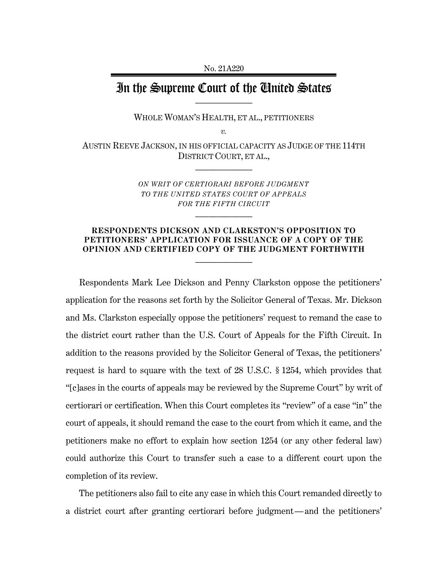## In the Supreme Court of the United States

WHOLE WOMAN'S HEALTH, ET AL., PETITIONERS

*v.*

AUSTIN REEVE JACKSON, IN HIS OFFICIAL CAPACITY AS JUDGE OF THE 114TH DISTRICT COURT, ET AL.,  $\frac{1}{2}$ 

> *ON WRIT OF CERTIORARI BEFORE JUDGMENT TO THE UNITED STATES COURT OF APPEALS FOR THE FIFTH CIRCUIT*

> > $\frac{1}{2}$

## **RESPONDENTS DICKSON AND CLARKSTON'S OPPOSITION TO PETITIONERS' APPLICATION FOR ISSUANCE OF A COPY OF THE OPINION AND CERTIFIED COPY OF THE JUDGMENT FORTHWITH**  $\frac{1}{2}$

Respondents Mark Lee Dickson and Penny Clarkston oppose the petitioners' application for the reasons set forth by the Solicitor General of Texas. Mr. Dickson and Ms. Clarkston especially oppose the petitioners' request to remand the case to the district court rather than the U.S. Court of Appeals for the Fifth Circuit. In addition to the reasons provided by the Solicitor General of Texas, the petitioners' request is hard to square with the text of 28 U.S.C. § 1254, which provides that "[c]ases in the courts of appeals may be reviewed by the Supreme Court" by writ of certiorari or certification. When this Court completes its "review" of a case "in" the court of appeals, it should remand the case to the court from which it came, and the petitioners make no effort to explain how section 1254 (or any other federal law) could authorize this Court to transfer such a case to a different court upon the completion of its review.

The petitioners also fail to cite any case in which this Court remanded directly to a district court after granting certiorari before judgment—and the petitioners'